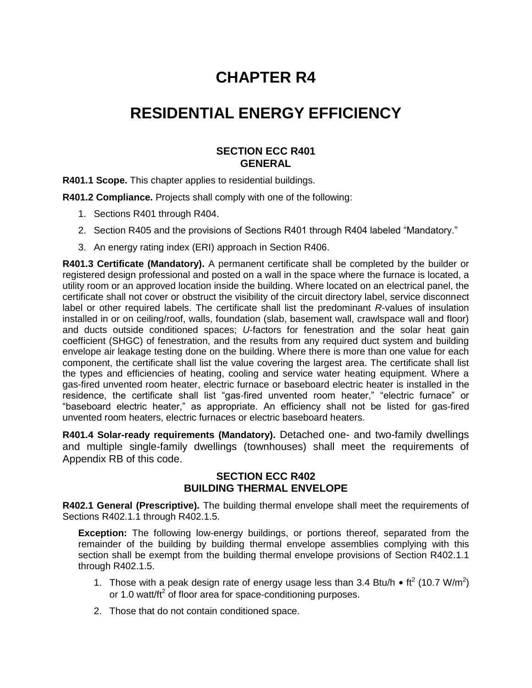# **CHAPTER R4**

# **RESIDENTIAL ENERGY EFFICIENCY**

## **SECTION ECC R401 GENERAL**

**R401.1 Scope.** This chapter applies to residential buildings.

**R401.2 Compliance.** Projects shall comply with one of the following:

- 1. Sections R401 through R404.
- 2. Section R405 and the provisions of Sections R401 through R404 labeled "Mandatory."
- 3. An energy rating index (ERI) approach in Section R406.

**R401.3 Certificate (Mandatory).** A permanent certificate shall be completed by the builder or registered design professional and posted on a wall in the space where the furnace is located, a utility room or an approved location inside the building. Where located on an electrical panel, the certificate shall not cover or obstruct the visibility of the circuit directory label, service disconnect label or other required labels. The certificate shall list the predominant *R*-values of insulation installed in or on ceiling/roof, walls, foundation (slab, basement wall, crawlspace wall and floor) and ducts outside conditioned spaces; *U*-factors for fenestration and the solar heat gain coefficient (SHGC) of fenestration, and the results from any required duct system and building envelope air leakage testing done on the building. Where there is more than one value for each component, the certificate shall list the value covering the largest area. The certificate shall list the types and efficiencies of heating, cooling and service water heating equipment. Where a gas-fired unvented room heater, electric furnace or baseboard electric heater is installed in the residence, the certificate shall list "gas-fired unvented room heater," "electric furnace" or "baseboard electric heater," as appropriate. An efficiency shall not be listed for gas-fired unvented room heaters, electric furnaces or electric baseboard heaters.

**R401.4 Solar-ready requirements (Mandatory).** Detached one- and two-family dwellings and multiple single-family dwellings (townhouses) shall meet the requirements of Appendix RB of this code.

#### **SECTION ECC R402 BUILDING THERMAL ENVELOPE**

**R402.1 General (Prescriptive).** The building thermal envelope shall meet the requirements of Sections R402.1.1 through R402.1.5.

**Exception:** The following low-energy buildings, or portions thereof, separated from the remainder of the building by building thermal envelope assemblies complying with this section shall be exempt from the building thermal envelope provisions of Section R402.1.1 through R402.1.5.

- 1. Those with a peak design rate of energy usage less than  $3.4$  Btu/h ft<sup>2</sup> (10.7 W/m<sup>2</sup>) or 1.0 watt/ft<sup>2</sup> of floor area for space-conditioning purposes.
- 2. Those that do not contain conditioned space.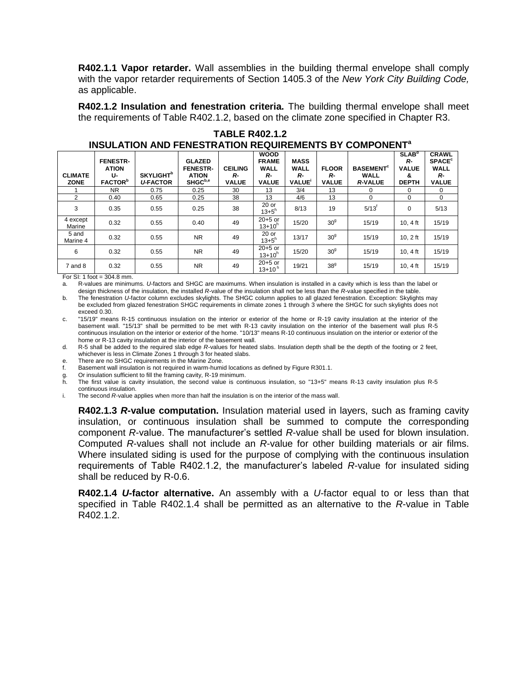**R402.1.1 Vapor retarder.** Wall assemblies in the building thermal envelope shall comply with the vapor retarder requirements of Section 1405.3 of the *New York City Building Code,* as applicable.

**R402.1.2 Insulation and fenestration criteria.** The building thermal envelope shall meet the requirements of Table R402.1.2, based on the climate zone specified in Chapter R3.

| INVYEATIVN AND LENEVINATIVN NEWVINEMENTY DT VYMI VNENT |                                                                     |                                                 |                                                                         |                                      |                                                                  |                                           |                                    |                                                       |                                                              |                                                                               |
|--------------------------------------------------------|---------------------------------------------------------------------|-------------------------------------------------|-------------------------------------------------------------------------|--------------------------------------|------------------------------------------------------------------|-------------------------------------------|------------------------------------|-------------------------------------------------------|--------------------------------------------------------------|-------------------------------------------------------------------------------|
| <b>CLIMATE</b><br><b>ZONE</b>                          | <b>FENESTR-</b><br><b>ATION</b><br>U-<br><b>FACTOR</b> <sup>b</sup> | <b>SKYLIGHT</b> <sup>b</sup><br><b>U-FACTOR</b> | <b>GLAZED</b><br><b>FENESTR-</b><br><b>ATION</b><br>SHGC <sup>b,e</sup> | <b>CEILING</b><br>R-<br><b>VALUE</b> | <b>WOOD</b><br><b>FRAME</b><br><b>WALL</b><br>R-<br><b>VALUE</b> | <b>MASS</b><br>WALL<br>R-<br><b>VALUE</b> | <b>FLOOR</b><br>R-<br><b>VALUE</b> | <b>BASEMENT<sup>c</sup></b><br>WALL<br><b>R-VALUE</b> | SLAB <sup>d</sup><br>R-<br><b>VALUE</b><br>&<br><b>DEPTH</b> | <b>CRAWL</b><br><b>SPACE<sup>c</sup></b><br><b>WALL</b><br>R-<br><b>VALUE</b> |
|                                                        | NR.                                                                 | 0.75                                            | 0.25                                                                    | 30                                   | 13                                                               | 3/4                                       | 13                                 | 0                                                     | 0                                                            | 0                                                                             |
| 2                                                      | 0.40                                                                | 0.65                                            | 0.25                                                                    | 38                                   | 13                                                               | 4/6                                       | 13                                 | $\mathbf 0$                                           | 0                                                            | $\Omega$                                                                      |
| 3                                                      | 0.35                                                                | 0.55                                            | 0.25                                                                    | 38                                   | $20$ or<br>$13 + 5^h$                                            | 8/13                                      | 19                                 | $5/13^t$                                              | 0                                                            | 5/13                                                                          |
| 4 except<br>Marine                                     | 0.32                                                                | 0.55                                            | 0.40                                                                    | 49                                   | $20+5$ or<br>$13 + 10^{h}$                                       | 15/20                                     | 30 <sup>9</sup>                    | 15/19                                                 | 10.4 $ft$                                                    | 15/19                                                                         |
| 5 and<br>Marine 4                                      | 0.32                                                                | 0.55                                            | <b>NR</b>                                                               | 49                                   | $20$ or<br>$13 + 5^{h}$                                          | 13/17                                     | 30 <sup>9</sup>                    | 15/19                                                 | $10.2$ ft                                                    | 15/19                                                                         |
| 6                                                      | 0.32                                                                | 0.55                                            | <b>NR</b>                                                               | 49                                   | $20+5$ or<br>$13+10^{h}$                                         | 15/20                                     | 30 <sup>9</sup>                    | 15/19                                                 | 10.4 $ft$                                                    | 15/19                                                                         |
| 7 and 8                                                | 0.32                                                                | 0.55                                            | NR.                                                                     | 49                                   | $20+5$ or<br>$13+10^{h}$                                         | 19/21                                     | 38 <sup>9</sup>                    | 15/19                                                 | 10.4 $ft$                                                    | 15/19                                                                         |

**TABLE R402.1.2 INSULATION AND FENESTRATION REQUIREMENTS BY COMPONENT<sup>a</sup>**

For SI: 1 foot = 304.8 mm.

a. R-values are minimums. *U*-factors and SHGC are maximums. When insulation is installed in a cavity which is less than the label or design thickness of the insulation, the installed *R*-value of the insulation shall not be less than the *R*-value specified in the table.

b. The fenestration *U*-factor column excludes skylights. The SHGC column applies to all glazed fenestration. Exception: Skylights may be excluded from glazed fenestration SHGC requirements in climate zones 1 through 3 where the SHGC for such skylights does not exceed 0.30.

c. "15/19" means R-15 continuous insulation on the interior or exterior of the home or R-19 cavity insulation at the interior of the basement wall. "15/13" shall be permitted to be met with R-13 cavity insulation on the interior of the basement wall plus R-5 continuous insulation on the interior or exterior of the home. "10/13" means R-10 continuous insulation on the interior or exterior of the home or R-13 cavity insulation at the interior of the basement wall.

d. R-5 shall be added to the required slab edge *R*-values for heated slabs. Insulation depth shall be the depth of the footing or 2 feet, whichever is less in Climate Zones 1 through 3 for heated slabs.

e. There are no SHGC requirements in the Marine Zone.

f. Basement wall insulation is not required in warm-humid locations as defined by Figure R301.1.

g. Or insulation sufficient to fill the framing cavity, R-19 minimum.

h. The first value is cavity insulation, the second value is continuous insulation, so "13+5" means R-13 cavity insulation plus R-5 continuous insulation.

i. The second *R*-value applies when more than half the insulation is on the interior of the mass wall.

**R402.1.3** *R***-value computation.** Insulation material used in layers, such as framing cavity insulation, or continuous insulation shall be summed to compute the corresponding component *R*-value. The manufacturer's settled *R*-value shall be used for blown insulation. Computed *R*-values shall not include an *R*-value for other building materials or air films. Where insulated siding is used for the purpose of complying with the continuous insulation requirements of Table R402.1.2, the manufacturer's labeled *R*-value for insulated siding shall be reduced by R-0.6.

**R402.1.4** *U***-factor alternative.** An assembly with a *U-*factor equal to or less than that specified in Table R402.1.4 shall be permitted as an alternative to the *R*-value in Table R402.1.2.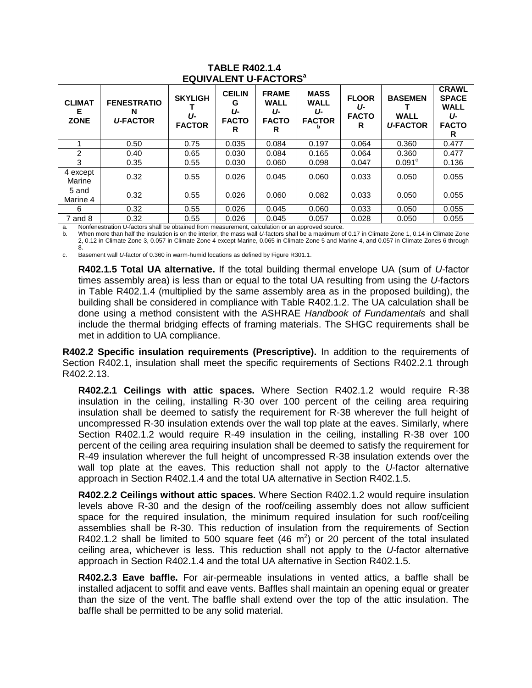| <b>CLIMAT</b><br>Е.<br><b>ZONE</b> | <b>FENESTRATIO</b><br>N<br><b>U-FACTOR</b> | <b>SKYLIGH</b><br>Ա-<br><b>FACTOR</b> | <b>CEILIN</b><br>G<br>U-<br><b>FACTO</b><br>R | <b>FRAME</b><br><b>WALL</b><br>IJ-<br><b>FACTO</b><br>R | <b>MASS</b><br><b>WALL</b><br>U-<br><b>FACTOR</b> | <b>FLOOR</b><br>U-<br><b>FACTO</b><br>R | <b>BASEMEN</b><br><b>WALL</b><br><b>U-FACTOR</b> | <b>CRAWL</b><br><b>SPACE</b><br><b>WALL</b><br>U-<br><b>FACTO</b><br>R |
|------------------------------------|--------------------------------------------|---------------------------------------|-----------------------------------------------|---------------------------------------------------------|---------------------------------------------------|-----------------------------------------|--------------------------------------------------|------------------------------------------------------------------------|
|                                    | 0.50                                       | 0.75                                  | 0.035                                         | 0.084                                                   | 0.197                                             | 0.064                                   | 0.360                                            | 0.477                                                                  |
| 2                                  | 0.40                                       | 0.65                                  | 0.030                                         | 0.084                                                   | 0.165                                             | 0.064                                   | 0.360                                            | 0.477                                                                  |
| 3                                  | 0.35                                       | 0.55                                  | 0.030                                         | 0.060                                                   | 0.098                                             | 0.047                                   | 0.091 <sup>c</sup>                               | 0.136                                                                  |
| 4 except<br>Marine                 | 0.32                                       | 0.55                                  | 0.026                                         | 0.045                                                   | 0.060                                             | 0.033                                   | 0.050                                            | 0.055                                                                  |
| 5 and<br>Marine 4                  | 0.32                                       | 0.55                                  | 0.026                                         | 0.060                                                   | 0.082                                             | 0.033                                   | 0.050                                            | 0.055                                                                  |
| 6                                  | 0.32                                       | 0.55                                  | 0.026                                         | 0.045                                                   | 0.060                                             | 0.033                                   | 0.050                                            | 0.055                                                                  |
| $7$ and $8$                        | 0.32                                       | 0.55                                  | 0.026                                         | 0.045                                                   | 0.057                                             | 0.028                                   | 0.050                                            | 0.055                                                                  |

#### **TABLE R402.1.4 EQUIVALENT U-FACTORS<sup>a</sup>**

a. Nonfenestration *U*-factors shall be obtained from measurement, calculation or an approved source. b. When more than half the insulation is on the interior, the mass wall *U*-factors shall be a maximum of 0.17 in Climate Zone 1, 0.14 in Climate Zone 2, 0.12 in Climate Zone 3, 0.057 in Climate Zone 4 except Marine, 0.065 in Climate Zone 5 and Marine 4, and 0.057 in Climate Zones 6 through

8. c. Basement wall *U*-factor of 0.360 in warm-humid locations as defined by Figure R301.1.

**R402.1.5 Total UA alternative.** If the total building thermal envelope UA (sum of *U-*factor times assembly area) is less than or equal to the total UA resulting from using the *U-*factors in Table R402.1.4 (multiplied by the same assembly area as in the proposed building), the building shall be considered in compliance with Table R402.1.2. The UA calculation shall be done using a method consistent with the ASHRAE *Handbook of Fundamentals* and shall include the thermal bridging effects of framing materials. The SHGC requirements shall be met in addition to UA compliance.

**R402.2 Specific insulation requirements (Prescriptive).** In addition to the requirements of Section R402.1, insulation shall meet the specific requirements of Sections R402.2.1 through R402.2.13.

**R402.2.1 Ceilings with attic spaces.** Where Section R402.1.2 would require R-38 insulation in the ceiling, installing R-30 over 100 percent of the ceiling area requiring insulation shall be deemed to satisfy the requirement for R-38 wherever the full height of uncompressed R-30 insulation extends over the wall top plate at the eaves. Similarly, where Section R402.1.2 would require R-49 insulation in the ceiling, installing R-38 over 100 percent of the ceiling area requiring insulation shall be deemed to satisfy the requirement for R-49 insulation wherever the full height of uncompressed R-38 insulation extends over the wall top plate at the eaves. This reduction shall not apply to the *U*-factor alternative approach in Section R402.1.4 and the total UA alternative in Section R402.1.5.

**R402.2.2 Ceilings without attic spaces.** Where Section R402.1.2 would require insulation levels above R-30 and the design of the roof/ceiling assembly does not allow sufficient space for the required insulation, the minimum required insulation for such roof/ceiling assemblies shall be R-30. This reduction of insulation from the requirements of Section R402.1.2 shall be limited to 500 square feet (46  $m<sup>2</sup>$ ) or 20 percent of the total insulated ceiling area, whichever is less. This reduction shall not apply to the *U-*factor alternative approach in Section R402.1.4 and the total UA alternative in Section R402.1.5.

**R402.2.3 Eave baffle.** For air-permeable insulations in vented attics, a baffle shall be installed adjacent to soffit and eave vents. Baffles shall maintain an opening equal or greater than the size of the vent. The baffle shall extend over the top of the attic insulation. The baffle shall be permitted to be any solid material.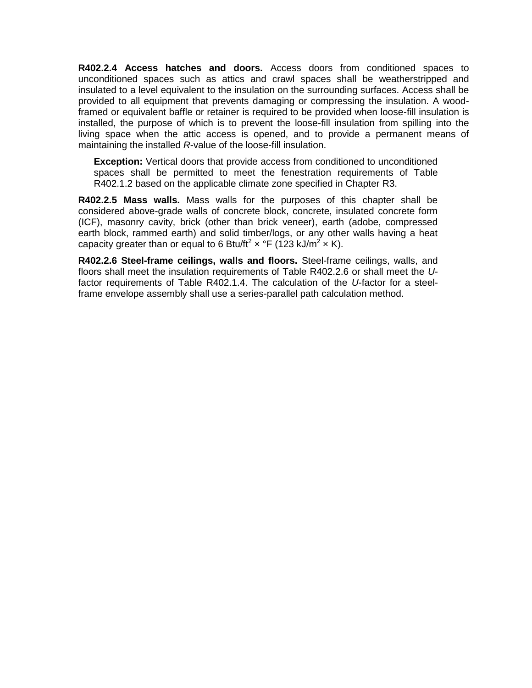**R402.2.4 Access hatches and doors.** Access doors from conditioned spaces to unconditioned spaces such as attics and crawl spaces shall be weatherstripped and insulated to a level equivalent to the insulation on the surrounding surfaces. Access shall be provided to all equipment that prevents damaging or compressing the insulation. A woodframed or equivalent baffle or retainer is required to be provided when loose-fill insulation is installed, the purpose of which is to prevent the loose-fill insulation from spilling into the living space when the attic access is opened, and to provide a permanent means of maintaining the installed *R*-value of the loose-fill insulation.

**Exception:** Vertical doors that provide access from conditioned to unconditioned spaces shall be permitted to meet the fenestration requirements of Table R402.1.2 based on the applicable climate zone specified in Chapter R3.

**R402.2.5 Mass walls.** Mass walls for the purposes of this chapter shall be considered above-grade walls of concrete block, concrete, insulated concrete form (ICF), masonry cavity, brick (other than brick veneer), earth (adobe, compressed earth block, rammed earth) and solid timber/logs, or any other walls having a heat capacity greater than or equal to 6 Btu/ft<sup>2</sup>  $\times$  °F (123 kJ/m<sup>2</sup>  $\times$  K).

**R402.2.6 Steel-frame ceilings, walls and floors.** Steel-frame ceilings, walls, and floors shall meet the insulation requirements of Table R402.2.6 or shall meet the *U*factor requirements of Table R402.1.4. The calculation of the *U*-factor for a steelframe envelope assembly shall use a series-parallel path calculation method.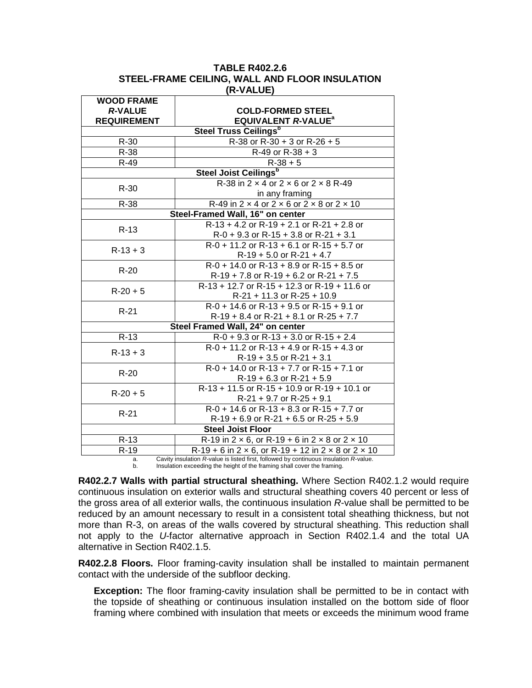| <b>TABLE R402.2.6</b>                          |
|------------------------------------------------|
| STEEL-FRAME CEILING, WALL AND FLOOR INSULATION |
| (R-VALUE)                                      |

| <b>WOOD FRAME</b>                |                                                                                       |  |  |  |  |
|----------------------------------|---------------------------------------------------------------------------------------|--|--|--|--|
| <b>R-VALUE</b>                   | <b>COLD-FORMED STEEL</b>                                                              |  |  |  |  |
| <b>REQUIREMENT</b>               | <b>EQUIVALENT R-VALUE<sup>a</sup></b>                                                 |  |  |  |  |
|                                  | <b>Steel Truss Ceilings</b> <sup>b</sup>                                              |  |  |  |  |
| $R-30$                           | R-38 or R-30 + 3 or R-26 + 5                                                          |  |  |  |  |
| R-38                             | $R-49$ or $R-38+3$                                                                    |  |  |  |  |
| R-49                             | $R-38+5$                                                                              |  |  |  |  |
|                                  | <b>Steel Joist Ceilings</b> <sup>b</sup>                                              |  |  |  |  |
| $R-30$                           | R-38 in $2 \times 4$ or $2 \times 6$ or $2 \times 8$ R-49                             |  |  |  |  |
|                                  | in any framing                                                                        |  |  |  |  |
| $R-38$                           | R-49 in $2 \times 4$ or $2 \times 6$ or $2 \times 8$ or $2 \times 10$                 |  |  |  |  |
|                                  | Steel-Framed Wall, 16" on center                                                      |  |  |  |  |
| $R-13$                           | $R-13 + 4.2$ or $R-19 + 2.1$ or $R-21 + 2.8$ or                                       |  |  |  |  |
|                                  | $R-0 + 9.3$ or $R-15 + 3.8$ or $R-21 + 3.1$                                           |  |  |  |  |
| $R-13+3$                         | $R-0 + 11.2$ or $R-13 + 6.1$ or $R-15 + 5.7$ or                                       |  |  |  |  |
|                                  | $R-19 + 5.0$ or $R-21 + 4.7$                                                          |  |  |  |  |
| $R-20$                           | $R-0 + 14.0$ or $R-13 + 8.9$ or $R-15 + 8.5$ or                                       |  |  |  |  |
|                                  | $R-19 + 7.8$ or $R-19 + 6.2$ or $R-21 + 7.5$                                          |  |  |  |  |
| $R-20+5$                         | R-13 + 12.7 or R-15 + 12.3 or R-19 + 11.6 or                                          |  |  |  |  |
|                                  | $R-21 + 11.3$ or $R-25 + 10.9$                                                        |  |  |  |  |
| $R-21$                           | $R-0 + 14.6$ or $R-13 + 9.5$ or $R-15 + 9.1$ or                                       |  |  |  |  |
|                                  | $R-19 + 8.4$ or $R-21 + 8.1$ or $R-25 + 7.7$                                          |  |  |  |  |
| Steel Framed Wall, 24" on center |                                                                                       |  |  |  |  |
| $R-13$                           | $R-0 + 9.3$ or $R-13 + 3.0$ or $R-15 + 2.4$                                           |  |  |  |  |
| $R-13+3$                         | $R-0 + 11.2$ or $R-13 + 4.9$ or $R-15 + 4.3$ or                                       |  |  |  |  |
|                                  | $R-19 + 3.5$ or $R-21 + 3.1$                                                          |  |  |  |  |
| $R-20$                           | $R-0 + 14.0$ or $R-13 + 7.7$ or $R-15 + 7.1$ or                                       |  |  |  |  |
|                                  | $R-19 + 6.3$ or $R-21 + 5.9$                                                          |  |  |  |  |
| $R-20+5$                         | R-13 + 11.5 or R-15 + 10.9 or R-19 + 10.1 or                                          |  |  |  |  |
|                                  | $R-21 + 9.7$ or $R-25 + 9.1$                                                          |  |  |  |  |
| $R-21$                           | $R-0 + 14.6$ or $R-13 + 8.3$ or $R-15 + 7.7$ or                                       |  |  |  |  |
|                                  | $R-19 + 6.9$ or $R-21 + 6.5$ or $R-25 + 5.9$                                          |  |  |  |  |
|                                  | <b>Steel Joist Floor</b>                                                              |  |  |  |  |
| $R-13$                           | R-19 in $2 \times 6$ , or R-19 + 6 in $2 \times 8$ or $2 \times 10$                   |  |  |  |  |
| R-19                             | $R-19 + 6$ in 2 x 6, or R-19 + 12 in 2 x 8 or 2 x 10                                  |  |  |  |  |
| a.                               | Cavity insulation R-value is listed first, followed by continuous insulation R-value. |  |  |  |  |

b. Insulation exceeding the height of the framing shall cover the framing.

**R402.2.7 Walls with partial structural sheathing.** Where Section R402.1.2 would require continuous insulation on exterior walls and structural sheathing covers 40 percent or less of the gross area of all exterior walls, the continuous insulation *R*-value shall be permitted to be reduced by an amount necessary to result in a consistent total sheathing thickness, but not more than R-3, on areas of the walls covered by structural sheathing. This reduction shall not apply to the *U*-factor alternative approach in Section R402.1.4 and the total UA alternative in Section R402.1.5.

**R402.2.8 Floors.** Floor framing-cavity insulation shall be installed to maintain permanent contact with the underside of the subfloor decking.

**Exception:** The floor framing-cavity insulation shall be permitted to be in contact with the topside of sheathing or continuous insulation installed on the bottom side of floor framing where combined with insulation that meets or exceeds the minimum wood frame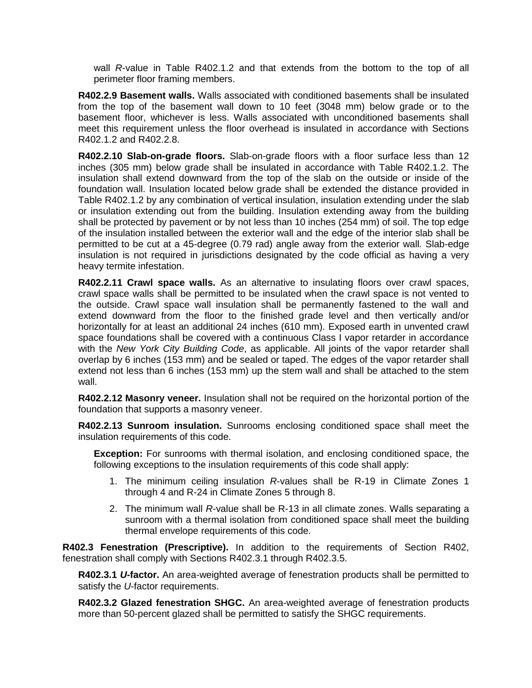wall *R*-value in Table R402.1.2 and that extends from the bottom to the top of all perimeter floor framing members.

**R402.2.9 Basement walls.** Walls associated with conditioned basements shall be insulated from the top of the basement wall down to 10 feet (3048 mm) below grade or to the basement floor, whichever is less. Walls associated with unconditioned basements shall meet this requirement unless the floor overhead is insulated in accordance with Sections R402.1.2 and R402.2.8.

**R402.2.10 Slab-on-grade floors.** Slab-on-grade floors with a floor surface less than 12 inches (305 mm) below grade shall be insulated in accordance with Table R402.1.2. The insulation shall extend downward from the top of the slab on the outside or inside of the foundation wall. Insulation located below grade shall be extended the distance provided in Table R402.1.2 by any combination of vertical insulation, insulation extending under the slab or insulation extending out from the building. Insulation extending away from the building shall be protected by pavement or by not less than 10 inches (254 mm) of soil. The top edge of the insulation installed between the exterior wall and the edge of the interior slab shall be permitted to be cut at a 45-degree (0.79 rad) angle away from the exterior wall*.* Slab-edge insulation is not required in jurisdictions designated by the code official as having a very heavy termite infestation.

**R402.2.11 Crawl space walls.** As an alternative to insulating floors over crawl spaces, crawl space walls shall be permitted to be insulated when the crawl space is not vented to the outside. Crawl space wall insulation shall be permanently fastened to the wall and extend downward from the floor to the finished grade level and then vertically and/or horizontally for at least an additional 24 inches (610 mm). Exposed earth in unvented crawl space foundations shall be covered with a continuous Class I vapor retarder in accordance with the *New York City Building Code*, as applicable. All joints of the vapor retarder shall overlap by 6 inches (153 mm) and be sealed or taped. The edges of the vapor retarder shall extend not less than 6 inches (153 mm) up the stem wall and shall be attached to the stem wall.

**R402.2.12 Masonry veneer.** Insulation shall not be required on the horizontal portion of the foundation that supports a masonry veneer.

**R402.2.13 Sunroom insulation.** Sunrooms enclosing conditioned space shall meet the insulation requirements of this code.

**Exception:** For sunrooms with thermal isolation, and enclosing conditioned space, the following exceptions to the insulation requirements of this code shall apply:

- 1. The minimum ceiling insulation *R*-values shall be R-19 in Climate Zones 1 through 4 and R-24 in Climate Zones 5 through 8.
- 2. The minimum wall *R*-value shall be R-13 in all climate zones. Walls separating a sunroom with a thermal isolation from conditioned space shall meet the building thermal envelope requirements of this code.

**R402.3 Fenestration (Prescriptive).** In addition to the requirements of Section R402, fenestration shall comply with Sections R402.3.1 through R402.3.5.

**R402.3.1** *U***-factor.** An area-weighted average of fenestration products shall be permitted to satisfy the *U*-factor requirements.

**R402.3.2 Glazed fenestration SHGC.** An area-weighted average of fenestration products more than 50-percent glazed shall be permitted to satisfy the SHGC requirements.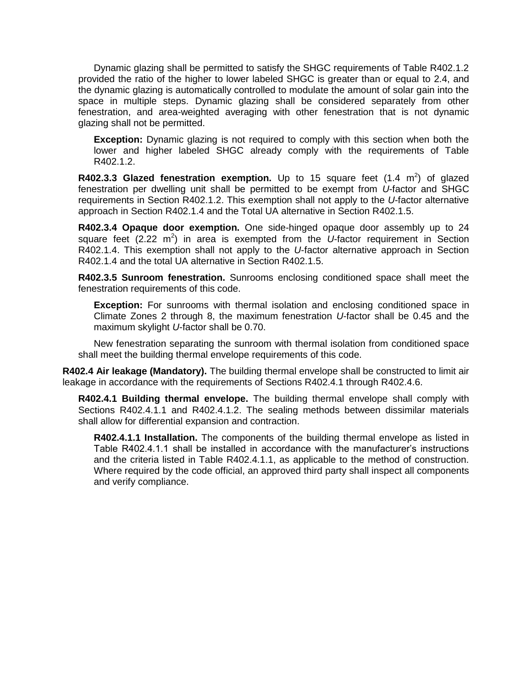Dynamic glazing shall be permitted to satisfy the SHGC requirements of Table R402.1.2 provided the ratio of the higher to lower labeled SHGC is greater than or equal to 2.4, and the dynamic glazing is automatically controlled to modulate the amount of solar gain into the space in multiple steps. Dynamic glazing shall be considered separately from other fenestration, and area-weighted averaging with other fenestration that is not dynamic glazing shall not be permitted.

**Exception:** Dynamic glazing is not required to comply with this section when both the lower and higher labeled SHGC already comply with the requirements of Table R402.1.2.

**R402.3.3 Glazed fenestration exemption.** Up to 15 square feet (1.4 m<sup>2</sup>) of glazed fenestration per dwelling unit shall be permitted to be exempt from *U*-factor and SHGC requirements in Section R402.1.2. This exemption shall not apply to the *U*-factor alternative approach in Section R402.1.4 and the Total UA alternative in Section R402.1.5.

**R402.3.4 Opaque door exemption.** One side-hinged opaque door assembly up to 24 square feet (2.22 m<sup>2</sup>) in area is exempted from the *U*-factor requirement in Section R402.1.4. This exemption shall not apply to the *U*-factor alternative approach in Section R402.1.4 and the total UA alternative in Section R402.1.5.

**R402.3.5 Sunroom fenestration.** Sunrooms enclosing conditioned space shall meet the fenestration requirements of this code.

**Exception:** For sunrooms with thermal isolation and enclosing conditioned space in Climate Zones 2 through 8, the maximum fenestration *U*-factor shall be 0.45 and the maximum skylight *U*-factor shall be 0.70.

New fenestration separating the sunroom with thermal isolation from conditioned space shall meet the building thermal envelope requirements of this code.

**R402.4 Air leakage (Mandatory).** The building thermal envelope shall be constructed to limit air leakage in accordance with the requirements of Sections R402.4.1 through R402.4.6.

**R402.4.1 Building thermal envelope.** The building thermal envelope shall comply with Sections R402.4.1.1 and R402.4.1.2. The sealing methods between dissimilar materials shall allow for differential expansion and contraction.

**R402.4.1.1 Installation.** The components of the building thermal envelope as listed in Table R402.4.1.1 shall be installed in accordance with the manufacturer's instructions and the criteria listed in Table R402.4.1.1, as applicable to the method of construction. Where required by the code official, an approved third party shall inspect all components and verify compliance.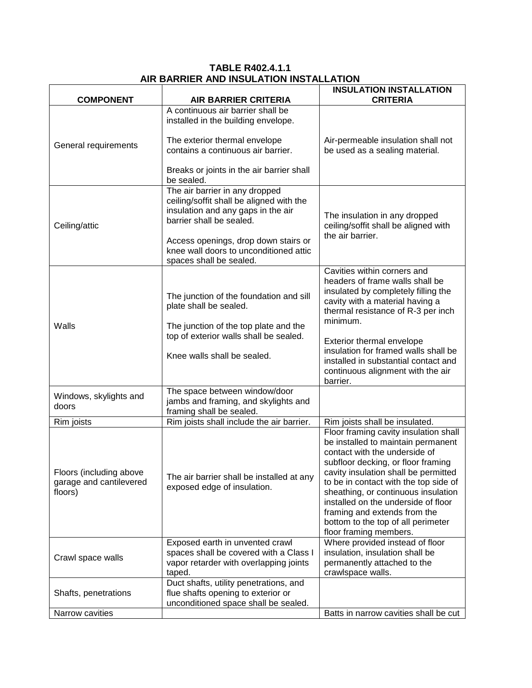### **TABLE R402.4.1.1 AIR BARRIER AND INSULATION INSTALLATION**

|                                                               |                                                                                                                                              | <b>INSULATION INSTALLATION</b>                                                                                                                                                                                                                                                                                                                                                                                    |  |
|---------------------------------------------------------------|----------------------------------------------------------------------------------------------------------------------------------------------|-------------------------------------------------------------------------------------------------------------------------------------------------------------------------------------------------------------------------------------------------------------------------------------------------------------------------------------------------------------------------------------------------------------------|--|
| <b>COMPONENT</b>                                              | <b>AIR BARRIER CRITERIA</b><br>A continuous air barrier shall be                                                                             | <b>CRITERIA</b>                                                                                                                                                                                                                                                                                                                                                                                                   |  |
|                                                               | installed in the building envelope.                                                                                                          |                                                                                                                                                                                                                                                                                                                                                                                                                   |  |
| General requirements                                          | The exterior thermal envelope<br>contains a continuous air barrier.                                                                          | Air-permeable insulation shall not<br>be used as a sealing material.                                                                                                                                                                                                                                                                                                                                              |  |
|                                                               | Breaks or joints in the air barrier shall<br>be sealed.                                                                                      |                                                                                                                                                                                                                                                                                                                                                                                                                   |  |
| Ceiling/attic                                                 | The air barrier in any dropped<br>ceiling/soffit shall be aligned with the<br>insulation and any gaps in the air<br>barrier shall be sealed. | The insulation in any dropped<br>ceiling/soffit shall be aligned with<br>the air barrier.                                                                                                                                                                                                                                                                                                                         |  |
|                                                               | Access openings, drop down stairs or<br>knee wall doors to unconditioned attic<br>spaces shall be sealed.                                    |                                                                                                                                                                                                                                                                                                                                                                                                                   |  |
|                                                               | The junction of the foundation and sill<br>plate shall be sealed.                                                                            | Cavities within corners and<br>headers of frame walls shall be<br>insulated by completely filling the<br>cavity with a material having a                                                                                                                                                                                                                                                                          |  |
| Walls                                                         | The junction of the top plate and the                                                                                                        | thermal resistance of R-3 per inch<br>minimum.                                                                                                                                                                                                                                                                                                                                                                    |  |
|                                                               | top of exterior walls shall be sealed.                                                                                                       | Exterior thermal envelope<br>insulation for framed walls shall be                                                                                                                                                                                                                                                                                                                                                 |  |
|                                                               | Knee walls shall be sealed.                                                                                                                  | installed in substantial contact and<br>continuous alignment with the air<br>barrier.                                                                                                                                                                                                                                                                                                                             |  |
| Windows, skylights and<br>doors                               | The space between window/door<br>jambs and framing, and skylights and<br>framing shall be sealed.                                            |                                                                                                                                                                                                                                                                                                                                                                                                                   |  |
| Rim joists                                                    | Rim joists shall include the air barrier.                                                                                                    | Rim joists shall be insulated.                                                                                                                                                                                                                                                                                                                                                                                    |  |
| Floors (including above<br>garage and cantilevered<br>floors) | The air barrier shall be installed at any<br>exposed edge of insulation.                                                                     | Floor framing cavity insulation shall<br>be installed to maintain permanent<br>contact with the underside of<br>subfloor decking, or floor framing<br>cavity insulation shall be permitted<br>to be in contact with the top side of<br>sheathing, or continuous insulation<br>installed on the underside of floor<br>framing and extends from the<br>bottom to the top of all perimeter<br>floor framing members. |  |
| Crawl space walls                                             | Exposed earth in unvented crawl<br>spaces shall be covered with a Class I<br>vapor retarder with overlapping joints<br>taped.                | Where provided instead of floor<br>insulation, insulation shall be<br>permanently attached to the<br>crawlspace walls.                                                                                                                                                                                                                                                                                            |  |
| Shafts, penetrations                                          | Duct shafts, utility penetrations, and<br>flue shafts opening to exterior or<br>unconditioned space shall be sealed.                         |                                                                                                                                                                                                                                                                                                                                                                                                                   |  |
| Narrow cavities                                               |                                                                                                                                              | Batts in narrow cavities shall be cut                                                                                                                                                                                                                                                                                                                                                                             |  |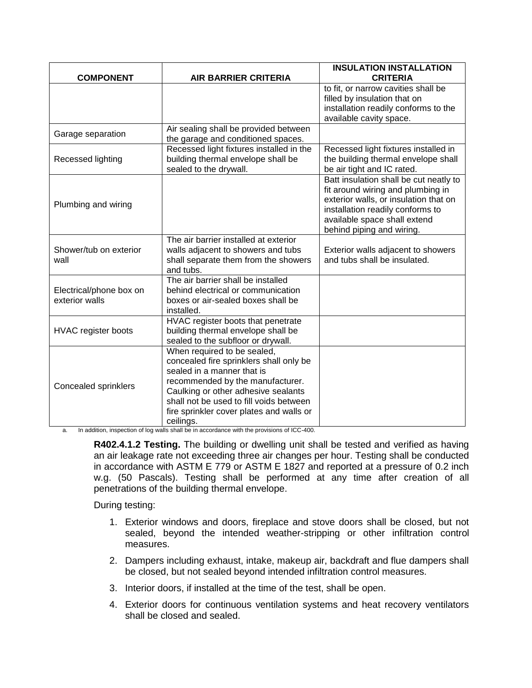| <b>COMPONENT</b>                          | AIR BARRIER CRITERIA                                                                                                                                                                                                                                                                | <b>INSULATION INSTALLATION</b><br><b>CRITERIA</b>                                                                                                                                                                     |
|-------------------------------------------|-------------------------------------------------------------------------------------------------------------------------------------------------------------------------------------------------------------------------------------------------------------------------------------|-----------------------------------------------------------------------------------------------------------------------------------------------------------------------------------------------------------------------|
|                                           |                                                                                                                                                                                                                                                                                     | to fit, or narrow cavities shall be<br>filled by insulation that on<br>installation readily conforms to the<br>available cavity space.                                                                                |
| Garage separation                         | Air sealing shall be provided between<br>the garage and conditioned spaces.                                                                                                                                                                                                         |                                                                                                                                                                                                                       |
| Recessed lighting                         | Recessed light fixtures installed in the<br>building thermal envelope shall be<br>sealed to the drywall.                                                                                                                                                                            | Recessed light fixtures installed in<br>the building thermal envelope shall<br>be air tight and IC rated.                                                                                                             |
| Plumbing and wiring                       |                                                                                                                                                                                                                                                                                     | Batt insulation shall be cut neatly to<br>fit around wiring and plumbing in<br>exterior walls, or insulation that on<br>installation readily conforms to<br>available space shall extend<br>behind piping and wiring. |
| Shower/tub on exterior<br>wall            | The air barrier installed at exterior<br>walls adjacent to showers and tubs<br>shall separate them from the showers<br>and tubs.                                                                                                                                                    | Exterior walls adjacent to showers<br>and tubs shall be insulated.                                                                                                                                                    |
| Electrical/phone box on<br>exterior walls | The air barrier shall be installed<br>behind electrical or communication<br>boxes or air-sealed boxes shall be<br>installed.                                                                                                                                                        |                                                                                                                                                                                                                       |
| HVAC register boots                       | HVAC register boots that penetrate<br>building thermal envelope shall be<br>sealed to the subfloor or drywall.                                                                                                                                                                      |                                                                                                                                                                                                                       |
| Concealed sprinklers                      | When required to be sealed,<br>concealed fire sprinklers shall only be<br>sealed in a manner that is<br>recommended by the manufacturer.<br>Caulking or other adhesive sealants<br>shall not be used to fill voids between<br>fire sprinkler cover plates and walls or<br>ceilings. |                                                                                                                                                                                                                       |

a. In addition, inspection of log walls shall be in accordance with the provisions of ICC-400.

**R402.4.1.2 Testing.** The building or dwelling unit shall be tested and verified as having an air leakage rate not exceeding three air changes per hour. Testing shall be conducted in accordance with ASTM E 779 or ASTM E 1827 and reported at a pressure of 0.2 inch w.g. (50 Pascals). Testing shall be performed at any time after creation of all penetrations of the building thermal envelope.

During testing:

- 1. Exterior windows and doors, fireplace and stove doors shall be closed, but not sealed, beyond the intended weather-stripping or other infiltration control measures.
- 2. Dampers including exhaust, intake, makeup air, backdraft and flue dampers shall be closed, but not sealed beyond intended infiltration control measures.
- 3. Interior doors, if installed at the time of the test, shall be open.
- 4. Exterior doors for continuous ventilation systems and heat recovery ventilators shall be closed and sealed.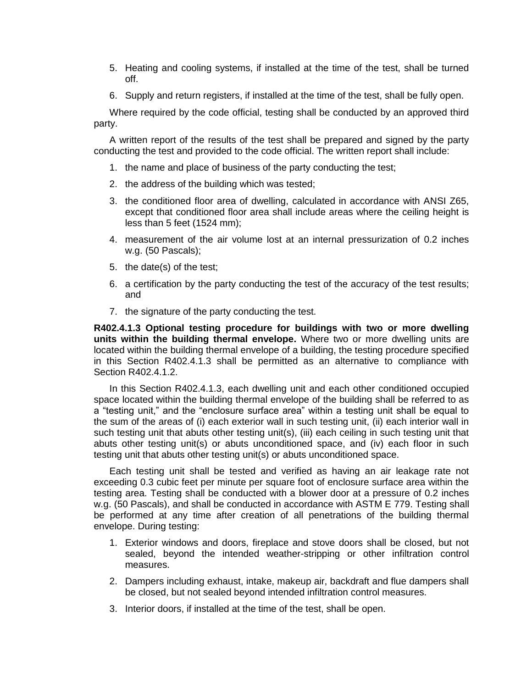- 5. Heating and cooling systems, if installed at the time of the test, shall be turned off.
- 6. Supply and return registers, if installed at the time of the test, shall be fully open.

Where required by the code official, testing shall be conducted by an approved third party.

A written report of the results of the test shall be prepared and signed by the party conducting the test and provided to the code official. The written report shall include:

- 1. the name and place of business of the party conducting the test;
- 2. the address of the building which was tested;
- 3. the conditioned floor area of dwelling, calculated in accordance with ANSI Z65, except that conditioned floor area shall include areas where the ceiling height is less than 5 feet (1524 mm);
- 4. measurement of the air volume lost at an internal pressurization of 0.2 inches w.g. (50 Pascals);
- 5. the date(s) of the test;
- 6. a certification by the party conducting the test of the accuracy of the test results; and
- 7. the signature of the party conducting the test.

**R402.4.1.3 Optional testing procedure for buildings with two or more dwelling units within the building thermal envelope.** Where two or more dwelling units are located within the building thermal envelope of a building, the testing procedure specified in this Section R402.4.1.3 shall be permitted as an alternative to compliance with Section R402.4.1.2.

In this Section R402.4.1.3, each dwelling unit and each other conditioned occupied space located within the building thermal envelope of the building shall be referred to as a "testing unit," and the "enclosure surface area" within a testing unit shall be equal to the sum of the areas of (i) each exterior wall in such testing unit, (ii) each interior wall in such testing unit that abuts other testing unit(s), (iii) each ceiling in such testing unit that abuts other testing unit(s) or abuts unconditioned space, and (iv) each floor in such testing unit that abuts other testing unit(s) or abuts unconditioned space.

Each testing unit shall be tested and verified as having an air leakage rate not exceeding 0.3 cubic feet per minute per square foot of enclosure surface area within the testing area. Testing shall be conducted with a blower door at a pressure of 0.2 inches w.g. (50 Pascals), and shall be conducted in accordance with ASTM E 779. Testing shall be performed at any time after creation of all penetrations of the building thermal envelope. During testing:

- 1. Exterior windows and doors, fireplace and stove doors shall be closed, but not sealed, beyond the intended weather-stripping or other infiltration control measures.
- 2. Dampers including exhaust, intake, makeup air, backdraft and flue dampers shall be closed, but not sealed beyond intended infiltration control measures.
- 3. Interior doors, if installed at the time of the test, shall be open.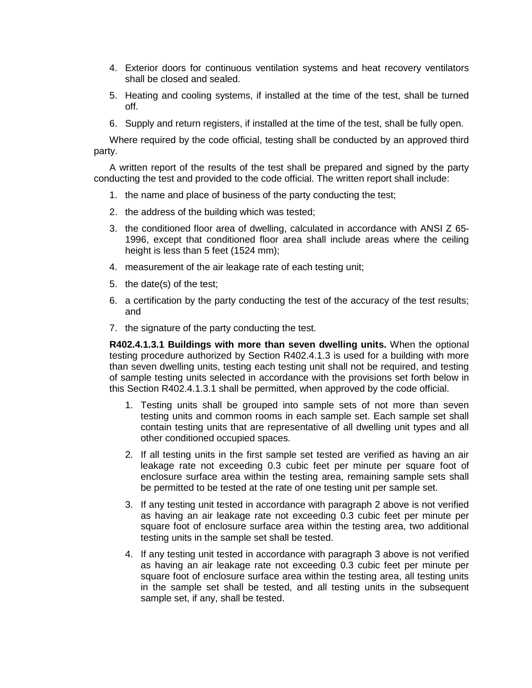- 4. Exterior doors for continuous ventilation systems and heat recovery ventilators shall be closed and sealed.
- 5. Heating and cooling systems, if installed at the time of the test, shall be turned off.
- 6. Supply and return registers, if installed at the time of the test, shall be fully open.

Where required by the code official, testing shall be conducted by an approved third party.

A written report of the results of the test shall be prepared and signed by the party conducting the test and provided to the code official. The written report shall include:

- 1. the name and place of business of the party conducting the test;
- 2. the address of the building which was tested;
- 3. the conditioned floor area of dwelling, calculated in accordance with ANSI Z 65- 1996, except that conditioned floor area shall include areas where the ceiling height is less than 5 feet (1524 mm);
- 4. measurement of the air leakage rate of each testing unit;
- 5. the date(s) of the test;
- 6. a certification by the party conducting the test of the accuracy of the test results; and
- 7. the signature of the party conducting the test.

**R402.4.1.3.1 Buildings with more than seven dwelling units.** When the optional testing procedure authorized by Section R402.4.1.3 is used for a building with more than seven dwelling units, testing each testing unit shall not be required, and testing of sample testing units selected in accordance with the provisions set forth below in this Section R402.4.1.3.1 shall be permitted, when approved by the code official.

- 1. Testing units shall be grouped into sample sets of not more than seven testing units and common rooms in each sample set. Each sample set shall contain testing units that are representative of all dwelling unit types and all other conditioned occupied spaces.
- 2. If all testing units in the first sample set tested are verified as having an air leakage rate not exceeding 0.3 cubic feet per minute per square foot of enclosure surface area within the testing area, remaining sample sets shall be permitted to be tested at the rate of one testing unit per sample set.
- 3. If any testing unit tested in accordance with paragraph 2 above is not verified as having an air leakage rate not exceeding 0.3 cubic feet per minute per square foot of enclosure surface area within the testing area, two additional testing units in the sample set shall be tested.
- 4. If any testing unit tested in accordance with paragraph 3 above is not verified as having an air leakage rate not exceeding 0.3 cubic feet per minute per square foot of enclosure surface area within the testing area, all testing units in the sample set shall be tested, and all testing units in the subsequent sample set, if any, shall be tested.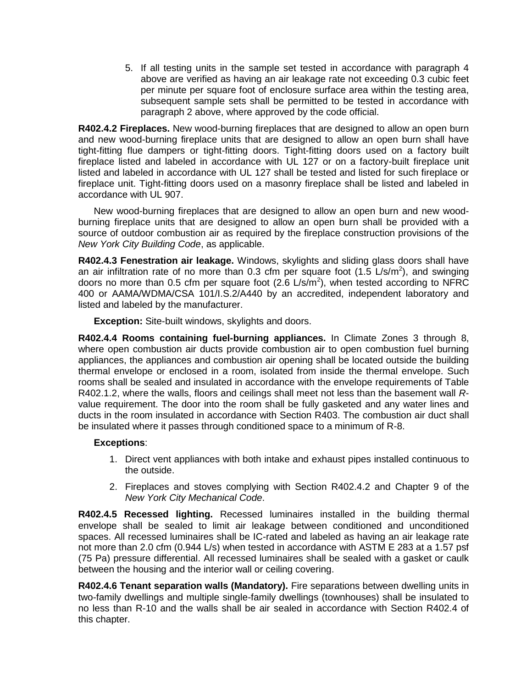5. If all testing units in the sample set tested in accordance with paragraph 4 above are verified as having an air leakage rate not exceeding 0.3 cubic feet per minute per square foot of enclosure surface area within the testing area, subsequent sample sets shall be permitted to be tested in accordance with paragraph 2 above, where approved by the code official.

**R402.4.2 Fireplaces.** New wood-burning fireplaces that are designed to allow an open burn and new wood-burning fireplace units that are designed to allow an open burn shall have tight-fitting flue dampers or tight-fitting doors. Tight-fitting doors used on a factory built fireplace listed and labeled in accordance with UL 127 or on a factory-built fireplace unit listed and labeled in accordance with UL 127 shall be tested and listed for such fireplace or fireplace unit. Tight-fitting doors used on a masonry fireplace shall be listed and labeled in accordance with UL 907.

New wood-burning fireplaces that are designed to allow an open burn and new woodburning fireplace units that are designed to allow an open burn shall be provided with a source of outdoor combustion air as required by the fireplace construction provisions of the *New York City Building Code*, as applicable.

**R402.4.3 Fenestration air leakage.** Windows, skylights and sliding glass doors shall have an air infiltration rate of no more than 0.3 cfm per square foot (1.5  $L/s/m<sup>2</sup>$ ), and swinging doors no more than 0.5 cfm per square foot (2.6 L/s/m<sup>2</sup>), when tested according to NFRC 400 or AAMA/WDMA/CSA 101/I.S.2/A440 by an accredited, independent laboratory and listed and labeled by the manufacturer.

**Exception:** Site-built windows, skylights and doors.

**R402.4.4 Rooms containing fuel-burning appliances.** In Climate Zones 3 through 8, where open combustion air ducts provide combustion air to open combustion fuel burning appliances, the appliances and combustion air opening shall be located outside the building thermal envelope or enclosed in a room, isolated from inside the thermal envelope. Such rooms shall be sealed and insulated in accordance with the envelope requirements of Table R402.1.2, where the walls, floors and ceilings shall meet not less than the basement wall *R*value requirement. The door into the room shall be fully gasketed and any water lines and ducts in the room insulated in accordance with Section R403. The combustion air duct shall be insulated where it passes through conditioned space to a minimum of R-8.

#### **Exceptions**:

- 1. Direct vent appliances with both intake and exhaust pipes installed continuous to the outside.
- 2. Fireplaces and stoves complying with Section R402.4.2 and Chapter 9 of the *New York City Mechanical Code*.

**R402.4.5 Recessed lighting.** Recessed luminaires installed in the building thermal envelope shall be sealed to limit air leakage between conditioned and unconditioned spaces. All recessed luminaires shall be IC-rated and labeled as having an air leakage rate not more than 2.0 cfm (0.944 L/s) when tested in accordance with ASTM E 283 at a 1.57 psf (75 Pa) pressure differential. All recessed luminaires shall be sealed with a gasket or caulk between the housing and the interior wall or ceiling covering.

**R402.4.6 Tenant separation walls (Mandatory).** Fire separations between dwelling units in two-family dwellings and multiple single-family dwellings (townhouses) shall be insulated to no less than R-10 and the walls shall be air sealed in accordance with Section R402.4 of this chapter.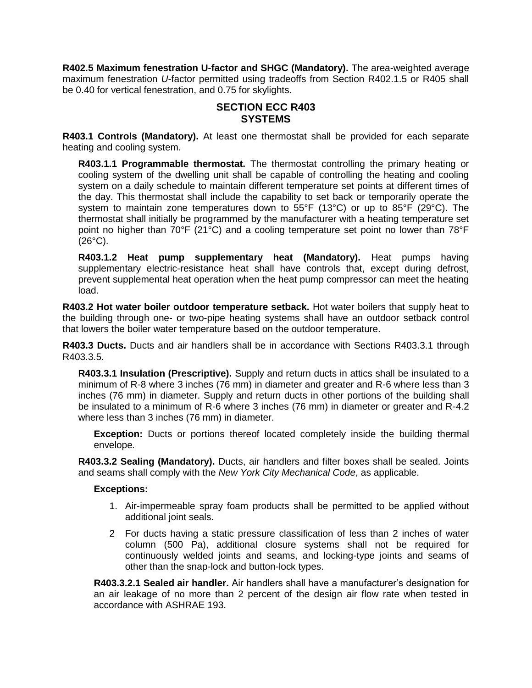**R402.5 Maximum fenestration U-factor and SHGC (Mandatory).** The area-weighted average maximum fenestration *U*-factor permitted using tradeoffs from Section R402.1.5 or R405 shall be 0.40 for vertical fenestration, and 0.75 for skylights.

# **SECTION ECC R403 SYSTEMS**

**R403.1 Controls (Mandatory).** At least one thermostat shall be provided for each separate heating and cooling system.

**R403.1.1 Programmable thermostat.** The thermostat controlling the primary heating or cooling system of the dwelling unit shall be capable of controlling the heating and cooling system on a daily schedule to maintain different temperature set points at different times of the day. This thermostat shall include the capability to set back or temporarily operate the system to maintain zone temperatures down to 55°F (13°C) or up to 85°F (29°C). The thermostat shall initially be programmed by the manufacturer with a heating temperature set point no higher than 70°F (21°C) and a cooling temperature set point no lower than 78°F  $(26^{\circ}C)$ .

**R403.1.2 Heat pump supplementary heat (Mandatory).** Heat pumps having supplementary electric-resistance heat shall have controls that, except during defrost, prevent supplemental heat operation when the heat pump compressor can meet the heating load.

**R403.2 Hot water boiler outdoor temperature setback.** Hot water boilers that supply heat to the building through one- or two-pipe heating systems shall have an outdoor setback control that lowers the boiler water temperature based on the outdoor temperature.

**R403.3 Ducts.** Ducts and air handlers shall be in accordance with Sections R403.3.1 through R403.3.5.

**R403.3.1 Insulation (Prescriptive).** Supply and return ducts in attics shall be insulated to a minimum of R-8 where 3 inches (76 mm) in diameter and greater and R-6 where less than 3 inches (76 mm) in diameter. Supply and return ducts in other portions of the building shall be insulated to a minimum of R-6 where 3 inches (76 mm) in diameter or greater and R-4.2 where less than 3 inches (76 mm) in diameter.

**Exception:** Ducts or portions thereof located completely inside the building thermal envelope*.*

**R403.3.2 Sealing (Mandatory).** Ducts, air handlers and filter boxes shall be sealed. Joints and seams shall comply with the *New York City Mechanical Code*, as applicable.

#### **Exceptions:**

- 1. Air-impermeable spray foam products shall be permitted to be applied without additional joint seals.
- 2 For ducts having a static pressure classification of less than 2 inches of water column (500 Pa), additional closure systems shall not be required for continuously welded joints and seams, and locking-type joints and seams of other than the snap-lock and button-lock types.

**R403.3.2.1 Sealed air handler.** Air handlers shall have a manufacturer's designation for an air leakage of no more than 2 percent of the design air flow rate when tested in accordance with ASHRAE 193.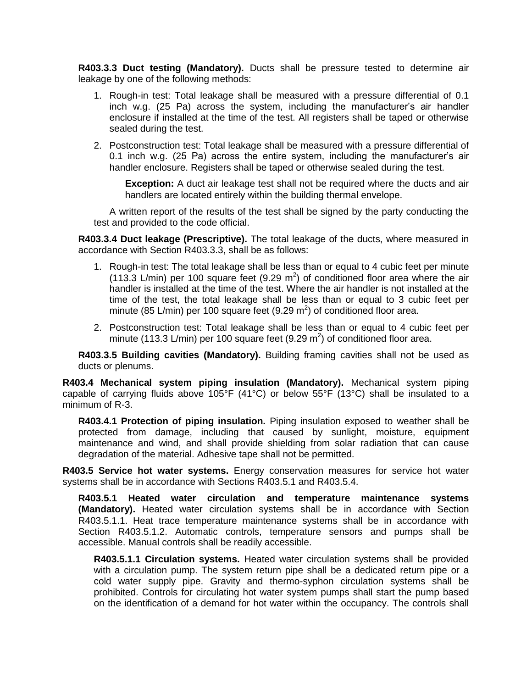**R403.3.3 Duct testing (Mandatory).** Ducts shall be pressure tested to determine air leakage by one of the following methods:

- 1. Rough-in test: Total leakage shall be measured with a pressure differential of 0.1 inch w.g. (25 Pa) across the system, including the manufacturer's air handler enclosure if installed at the time of the test. All registers shall be taped or otherwise sealed during the test.
- 2. Postconstruction test: Total leakage shall be measured with a pressure differential of 0.1 inch w.g. (25 Pa) across the entire system, including the manufacturer's air handler enclosure. Registers shall be taped or otherwise sealed during the test.

**Exception:** A duct air leakage test shall not be required where the ducts and air handlers are located entirely within the building thermal envelope.

A written report of the results of the test shall be signed by the party conducting the test and provided to the code official.

**R403.3.4 Duct leakage (Prescriptive).** The total leakage of the ducts, where measured in accordance with Section R403.3.3, shall be as follows:

- 1. Rough-in test: The total leakage shall be less than or equal to 4 cubic feet per minute (113.3 L/min) per 100 square feet (9.29  $m^2$ ) of conditioned floor area where the air handler is installed at the time of the test. Where the air handler is not installed at the time of the test, the total leakage shall be less than or equal to 3 cubic feet per minute (85 L/min) per 100 square feet (9.29  $m^2$ ) of conditioned floor area.
- 2. Postconstruction test: Total leakage shall be less than or equal to 4 cubic feet per minute (113.3 L/min) per 100 square feet (9.29 m<sup>2</sup>) of conditioned floor area.

**R403.3.5 Building cavities (Mandatory).** Building framing cavities shall not be used as ducts or plenums.

**R403.4 Mechanical system piping insulation (Mandatory).** Mechanical system piping capable of carrying fluids above 105°F (41°C) or below 55°F (13°C) shall be insulated to a minimum of R-3.

**R403.4.1 Protection of piping insulation.** Piping insulation exposed to weather shall be protected from damage, including that caused by sunlight, moisture, equipment maintenance and wind, and shall provide shielding from solar radiation that can cause degradation of the material. Adhesive tape shall not be permitted.

**R403.5 Service hot water systems.** Energy conservation measures for service hot water systems shall be in accordance with Sections R403.5.1 and R403.5.4.

**R403.5.1 Heated water circulation and temperature maintenance systems (Mandatory).** Heated water circulation systems shall be in accordance with Section R403.5.1.1. Heat trace temperature maintenance systems shall be in accordance with Section R403.5.1.2. Automatic controls, temperature sensors and pumps shall be accessible. Manual controls shall be readily accessible.

**R403.5.1.1 Circulation systems.** Heated water circulation systems shall be provided with a circulation pump. The system return pipe shall be a dedicated return pipe or a cold water supply pipe. Gravity and thermo-syphon circulation systems shall be prohibited. Controls for circulating hot water system pumps shall start the pump based on the identification of a demand for hot water within the occupancy. The controls shall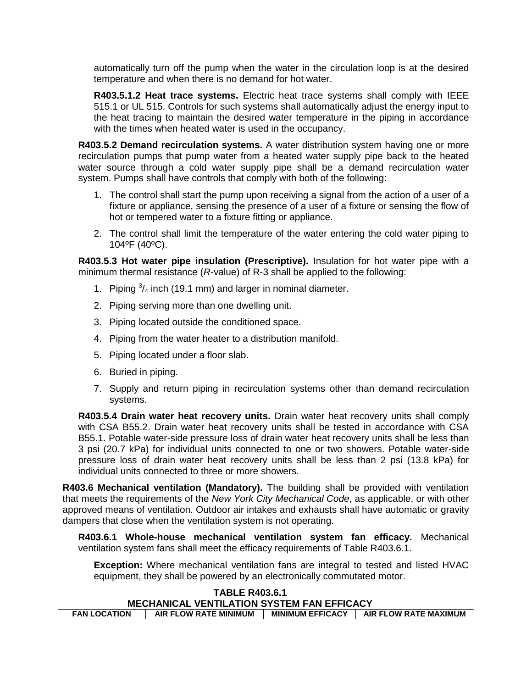automatically turn off the pump when the water in the circulation loop is at the desired temperature and when there is no demand for hot water.

**R403.5.1.2 Heat trace systems.** Electric heat trace systems shall comply with IEEE 515.1 or UL 515. Controls for such systems shall automatically adjust the energy input to the heat tracing to maintain the desired water temperature in the piping in accordance with the times when heated water is used in the occupancy.

**R403.5.2 Demand recirculation systems.** A water distribution system having one or more recirculation pumps that pump water from a heated water supply pipe back to the heated water source through a cold water supply pipe shall be a demand recirculation water system. Pumps shall have controls that comply with both of the following:

- 1. The control shall start the pump upon receiving a signal from the action of a user of a fixture or appliance, sensing the presence of a user of a fixture or sensing the flow of hot or tempered water to a fixture fitting or appliance.
- 2. The control shall limit the temperature of the water entering the cold water piping to 104ºF (40ºC).

**R403.5.3 Hot water pipe insulation (Prescriptive).** Insulation for hot water pipe with a minimum thermal resistance (*R*-value) of R-3 shall be applied to the following:

- 1. Piping  $\frac{3}{4}$  inch (19.1 mm) and larger in nominal diameter.
- 2. Piping serving more than one dwelling unit.
- 3. Piping located outside the conditioned space.
- 4. Piping from the water heater to a distribution manifold.
- 5. Piping located under a floor slab.
- 6. Buried in piping.
- 7. Supply and return piping in recirculation systems other than demand recirculation systems.

**R403.5.4 Drain water heat recovery units.** Drain water heat recovery units shall comply with CSA B55.2. Drain water heat recovery units shall be tested in accordance with CSA B55.1. Potable water-side pressure loss of drain water heat recovery units shall be less than 3 psi (20.7 kPa) for individual units connected to one or two showers. Potable water-side pressure loss of drain water heat recovery units shall be less than 2 psi (13.8 kPa) for individual units connected to three or more showers.

**R403.6 Mechanical ventilation (Mandatory).** The building shall be provided with ventilation that meets the requirements of the *New York City Mechanical Code*, as applicable, or with other approved means of ventilation. Outdoor air intakes and exhausts shall have automatic or gravity dampers that close when the ventilation system is not operating.

**R403.6.1 Whole-house mechanical ventilation system fan efficacy.** Mechanical ventilation system fans shall meet the efficacy requirements of Table R403.6.1.

**Exception:** Where mechanical ventilation fans are integral to tested and listed HVAC equipment, they shall be powered by an electronically commutated motor.

#### **TABLE R403.6.1 MECHANICAL VENTILATION SYSTEM FAN EFFICACY FAN LOCATION | AIR FLOW RATE MINIMUM | MINIMUM EFFICACY | AIR FLOW RATE MAXIMUM |**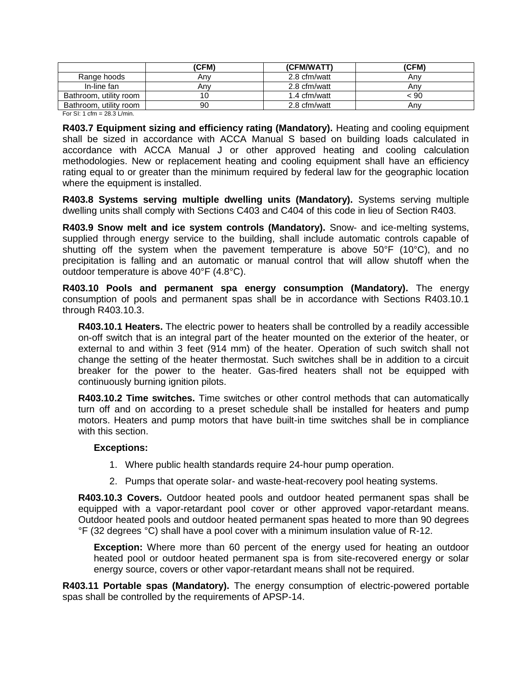|                        | (CFM) | (CFM/WATT)   | (CFM) |
|------------------------|-------|--------------|-------|
| Range hoods            | Anv   | 2.8 cfm/watt | Anv   |
| In-line fan            | Anv   | 2.8 cfm/watt | Anv   |
| Bathroom, utility room | 10    | 1.4 cfm/watt | < 90  |
| Bathroom, utility room | 90    | 2.8 cfm/watt | Anv   |

For SI: 1 cfm =  $28.3$  L/min.

**R403.7 Equipment sizing and efficiency rating (Mandatory).** Heating and cooling equipment shall be sized in accordance with ACCA Manual S based on building loads calculated in accordance with ACCA Manual J or other approved heating and cooling calculation methodologies. New or replacement heating and cooling equipment shall have an efficiency rating equal to or greater than the minimum required by federal law for the geographic location where the equipment is installed.

**R403.8 Systems serving multiple dwelling units (Mandatory).** Systems serving multiple dwelling units shall comply with Sections C403 and C404 of this code in lieu of Section R403.

**R403.9 Snow melt and ice system controls (Mandatory).** Snow- and ice-melting systems, supplied through energy service to the building, shall include automatic controls capable of shutting off the system when the pavement temperature is above 50°F (10°C), and no precipitation is falling and an automatic or manual control that will allow shutoff when the outdoor temperature is above 40°F (4.8°C).

**R403.10 Pools and permanent spa energy consumption (Mandatory).** The energy consumption of pools and permanent spas shall be in accordance with Sections R403.10.1 through R403.10.3.

**R403.10.1 Heaters.** The electric power to heaters shall be controlled by a readily accessible on-off switch that is an integral part of the heater mounted on the exterior of the heater, or external to and within 3 feet (914 mm) of the heater. Operation of such switch shall not change the setting of the heater thermostat. Such switches shall be in addition to a circuit breaker for the power to the heater. Gas-fired heaters shall not be equipped with continuously burning ignition pilots.

**R403.10.2 Time switches.** Time switches or other control methods that can automatically turn off and on according to a preset schedule shall be installed for heaters and pump motors. Heaters and pump motors that have built-in time switches shall be in compliance with this section.

#### **Exceptions:**

- 1. Where public health standards require 24-hour pump operation.
- 2. Pumps that operate solar- and waste-heat-recovery pool heating systems.

**R403.10.3 Covers.** Outdoor heated pools and outdoor heated permanent spas shall be equipped with a vapor-retardant pool cover or other approved vapor-retardant means. Outdoor heated pools and outdoor heated permanent spas heated to more than 90 degrees °F (32 degrees °C) shall have a pool cover with a minimum insulation value of R-12.

**Exception:** Where more than 60 percent of the energy used for heating an outdoor heated pool or outdoor heated permanent spa is from site-recovered energy or solar energy source, covers or other vapor-retardant means shall not be required.

**R403.11 Portable spas (Mandatory).** The energy consumption of electric-powered portable spas shall be controlled by the requirements of APSP-14.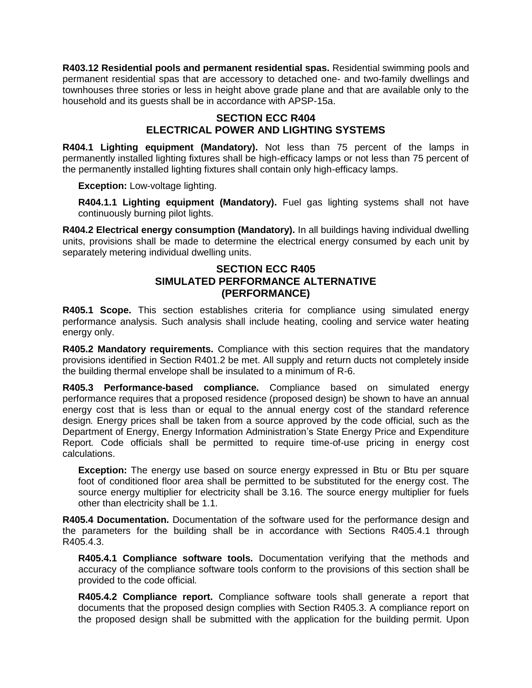**R403.12 Residential pools and permanent residential spas.** Residential swimming pools and permanent residential spas that are accessory to detached one- and two-family dwellings and townhouses three stories or less in height above grade plane and that are available only to the household and its guests shall be in accordance with APSP-15a.

## **SECTION ECC R404 ELECTRICAL POWER AND LIGHTING SYSTEMS**

**R404.1 Lighting equipment (Mandatory).** Not less than 75 percent of the lamps in permanently installed lighting fixtures shall be high-efficacy lamps or not less than 75 percent of the permanently installed lighting fixtures shall contain only high-efficacy lamps.

**Exception:** Low-voltage lighting.

**R404.1.1 Lighting equipment (Mandatory).** Fuel gas lighting systems shall not have continuously burning pilot lights.

**R404.2 Electrical energy consumption (Mandatory).** In all buildings having individual dwelling units, provisions shall be made to determine the electrical energy consumed by each unit by separately metering individual dwelling units.

### **SECTION ECC R405 SIMULATED PERFORMANCE ALTERNATIVE (PERFORMANCE)**

**R405.1 Scope.** This section establishes criteria for compliance using simulated energy performance analysis. Such analysis shall include heating, cooling and service water heating energy only.

**R405.2 Mandatory requirements.** Compliance with this section requires that the mandatory provisions identified in Section R401.2 be met. All supply and return ducts not completely inside the building thermal envelope shall be insulated to a minimum of R-6.

**R405.3 Performance-based compliance.** Compliance based on simulated energy performance requires that a proposed residence (proposed design) be shown to have an annual energy cost that is less than or equal to the annual energy cost of the standard reference design*.* Energy prices shall be taken from a source approved by the code official*,* such as the Department of Energy, Energy Information Administration's State Energy Price and Expenditure Report*.* Code officials shall be permitted to require time-of-use pricing in energy cost calculations.

**Exception:** The energy use based on source energy expressed in Btu or Btu per square foot of conditioned floor area shall be permitted to be substituted for the energy cost. The source energy multiplier for electricity shall be 3.16. The source energy multiplier for fuels other than electricity shall be 1.1.

**R405.4 Documentation.** Documentation of the software used for the performance design and the parameters for the building shall be in accordance with Sections R405.4.1 through R405.4.3.

**R405.4.1 Compliance software tools.** Documentation verifying that the methods and accuracy of the compliance software tools conform to the provisions of this section shall be provided to the code official*.*

**R405.4.2 Compliance report.** Compliance software tools shall generate a report that documents that the proposed design complies with Section R405.3. A compliance report on the proposed design shall be submitted with the application for the building permit. Upon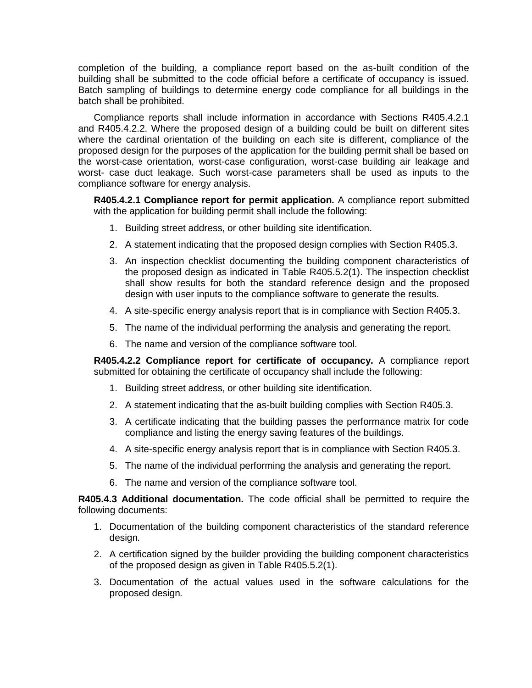completion of the building, a compliance report based on the as-built condition of the building shall be submitted to the code official before a certificate of occupancy is issued. Batch sampling of buildings to determine energy code compliance for all buildings in the batch shall be prohibited.

Compliance reports shall include information in accordance with Sections R405.4.2.1 and R405.4.2.2. Where the proposed design of a building could be built on different sites where the cardinal orientation of the building on each site is different, compliance of the proposed design for the purposes of the application for the building permit shall be based on the worst-case orientation, worst-case configuration, worst-case building air leakage and worst- case duct leakage. Such worst-case parameters shall be used as inputs to the compliance software for energy analysis.

**R405.4.2.1 Compliance report for permit application.** A compliance report submitted with the application for building permit shall include the following:

- 1. Building street address, or other building site identification.
- 2. A statement indicating that the proposed design complies with Section R405.3.
- 3. An inspection checklist documenting the building component characteristics of the proposed design as indicated in Table R405.5.2(1). The inspection checklist shall show results for both the standard reference design and the proposed design with user inputs to the compliance software to generate the results.
- 4. A site-specific energy analysis report that is in compliance with Section R405.3.
- 5. The name of the individual performing the analysis and generating the report.
- 6. The name and version of the compliance software tool.

**R405.4.2.2 Compliance report for certificate of occupancy.** A compliance report submitted for obtaining the certificate of occupancy shall include the following:

- 1. Building street address, or other building site identification.
- 2. A statement indicating that the as-built building complies with Section R405.3.
- 3. A certificate indicating that the building passes the performance matrix for code compliance and listing the energy saving features of the buildings.
- 4. A site-specific energy analysis report that is in compliance with Section R405.3.
- 5. The name of the individual performing the analysis and generating the report.
- 6. The name and version of the compliance software tool.

**R405.4.3 Additional documentation.** The code official shall be permitted to require the following documents:

- 1. Documentation of the building component characteristics of the standard reference design*.*
- 2. A certification signed by the builder providing the building component characteristics of the proposed design as given in Table R405.5.2(1).
- 3. Documentation of the actual values used in the software calculations for the proposed design*.*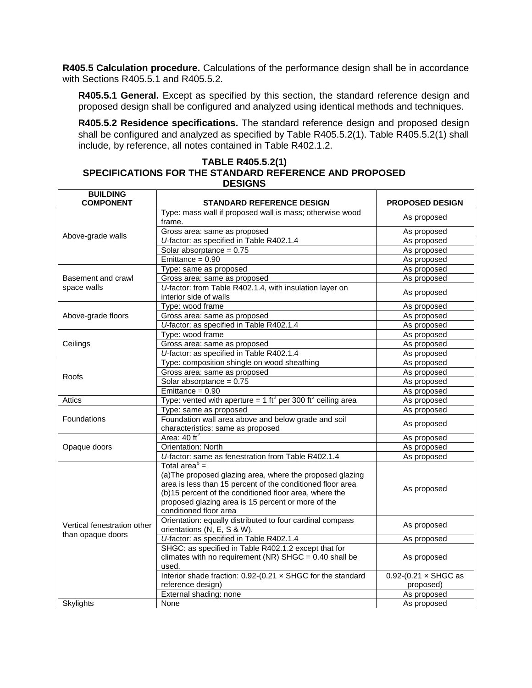**R405.5 Calculation procedure.** Calculations of the performance design shall be in accordance with Sections R405.5.1 and R405.5.2.

**R405.5.1 General.** Except as specified by this section, the standard reference design and proposed design shall be configured and analyzed using identical methods and techniques.

**R405.5.2 Residence specifications.** The standard reference design and proposed design shall be configured and analyzed as specified by Table R405.5.2(1). Table R405.5.2(1) shall include, by reference, all notes contained in Table R402.1.2.

#### **TABLE R405.5.2(1) SPECIFICATIONS FOR THE STANDARD REFERENCE AND PROPOSED DESIGNS**

| <b>BUILDING</b><br><b>COMPONENT</b> | <b>STANDARD REFERENCE DESIGN</b>                                                 | <b>PROPOSED DESIGN</b>      |  |
|-------------------------------------|----------------------------------------------------------------------------------|-----------------------------|--|
|                                     | Type: mass wall if proposed wall is mass; otherwise wood                         |                             |  |
|                                     | frame.                                                                           | As proposed                 |  |
|                                     | Gross area: same as proposed                                                     | As proposed                 |  |
| Above-grade walls                   | U-factor: as specified in Table R402.1.4                                         | As proposed                 |  |
|                                     | Solar absorptance = $0.75$                                                       | As proposed                 |  |
|                                     | Emittance = $0.90$                                                               | As proposed                 |  |
|                                     | Type: same as proposed                                                           | As proposed                 |  |
| Basement and crawl                  | Gross area: same as proposed                                                     | As proposed                 |  |
| space walls                         | U-factor: from Table R402.1.4, with insulation layer on                          | As proposed                 |  |
|                                     | interior side of walls                                                           |                             |  |
|                                     | Type: wood frame                                                                 | As proposed                 |  |
| Above-grade floors                  | Gross area: same as proposed                                                     | As proposed                 |  |
|                                     | U-factor: as specified in Table R402.1.4                                         | As proposed                 |  |
|                                     | Type: wood frame                                                                 | As proposed                 |  |
| Ceilings                            | Gross area: same as proposed                                                     | As proposed                 |  |
|                                     | U-factor: as specified in Table R402.1.4                                         | As proposed                 |  |
|                                     | Type: composition shingle on wood sheathing                                      | As proposed                 |  |
| Roofs                               | Gross area: same as proposed                                                     | As proposed                 |  |
|                                     | Solar absorptance = $0.75$                                                       | As proposed                 |  |
|                                     | $Emitiance = 0.90$                                                               | As proposed                 |  |
| Attics                              | Type: vented with aperture = $1 \text{ ft}^2$ per 300 ft $^2$ ceiling area       | As proposed                 |  |
|                                     | Type: same as proposed                                                           | As proposed                 |  |
| Foundations                         | Foundation wall area above and below grade and soil                              | As proposed                 |  |
|                                     | characteristics: same as proposed                                                |                             |  |
|                                     | Area: $40 \text{ ft}^2$                                                          | As proposed                 |  |
| Opaque doors                        | <b>Orientation: North</b>                                                        | As proposed                 |  |
|                                     | U-factor: same as fenestration from Table R402.1.4                               | As proposed                 |  |
|                                     | Total area $b$ =                                                                 |                             |  |
|                                     | (a) The proposed glazing area, where the proposed glazing                        |                             |  |
|                                     | area is less than 15 percent of the conditioned floor area                       | As proposed                 |  |
|                                     | (b)15 percent of the conditioned floor area, where the                           |                             |  |
|                                     | proposed glazing area is 15 percent or more of the                               |                             |  |
|                                     | conditioned floor area                                                           |                             |  |
| Vertical fenestration other         | Orientation: equally distributed to four cardinal compass                        | As proposed                 |  |
| than opaque doors                   | orientations (N, E, S & W).                                                      |                             |  |
|                                     | U-factor: as specified in Table R402.1.4                                         | As proposed                 |  |
|                                     | SHGC: as specified in Table R402.1.2 except that for                             |                             |  |
|                                     | climates with no requirement (NR) $SHGC = 0.40$ shall be                         | As proposed                 |  |
|                                     | used.                                                                            |                             |  |
|                                     | Interior shade fraction: 0.92-(0.21 x SHGC for the standard<br>reference design) | $0.92-(0.21 \times SHGC as$ |  |
|                                     | External shading: none                                                           | proposed)<br>As proposed    |  |
|                                     | None                                                                             |                             |  |
| <b>Skylights</b>                    |                                                                                  | As proposed                 |  |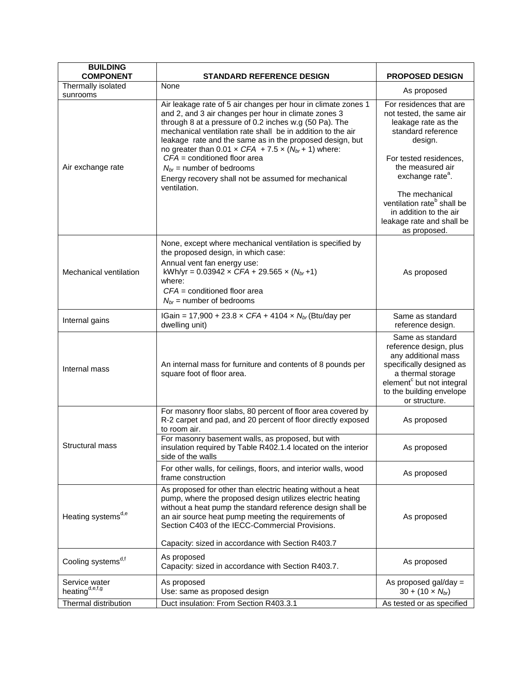| <b>BUILDING</b><br><b>COMPONENT</b>         | <b>STANDARD REFERENCE DESIGN</b>                                                                                                                                                                                                                                                                                                                                                                                                                                                                                                     | <b>PROPOSED DESIGN</b>                                                                                                                                                                                      |
|---------------------------------------------|--------------------------------------------------------------------------------------------------------------------------------------------------------------------------------------------------------------------------------------------------------------------------------------------------------------------------------------------------------------------------------------------------------------------------------------------------------------------------------------------------------------------------------------|-------------------------------------------------------------------------------------------------------------------------------------------------------------------------------------------------------------|
| Thermally isolated                          | None                                                                                                                                                                                                                                                                                                                                                                                                                                                                                                                                 | As proposed                                                                                                                                                                                                 |
| sunrooms<br>Air exchange rate               | Air leakage rate of 5 air changes per hour in climate zones 1<br>and 2, and 3 air changes per hour in climate zones 3<br>through 8 at a pressure of 0.2 inches w.g (50 Pa). The<br>mechanical ventilation rate shall be in addition to the air<br>leakage rate and the same as in the proposed design, but<br>no greater than 0.01 $\times$ CFA + 7.5 $\times$ (N <sub>br</sub> +1) where:<br>$CFA =$ conditioned floor area<br>$N_{br}$ = number of bedrooms<br>Energy recovery shall not be assumed for mechanical<br>ventilation. | For residences that are<br>not tested, the same air<br>leakage rate as the<br>standard reference<br>design.<br>For tested residences,<br>the measured air<br>exchange rate <sup>a</sup> .<br>The mechanical |
|                                             |                                                                                                                                                                                                                                                                                                                                                                                                                                                                                                                                      | ventilation rate <sup>b</sup> shall be<br>in addition to the air<br>leakage rate and shall be<br>as proposed.                                                                                               |
| Mechanical ventilation                      | None, except where mechanical ventilation is specified by<br>the proposed design, in which case:<br>Annual vent fan energy use:<br>kWh/yr = 0.03942 $\times$ CFA + 29.565 $\times$ (N <sub>br</sub> +1)<br>where:<br>$CFA =$ conditioned floor area<br>$N_{br}$ = number of bedrooms                                                                                                                                                                                                                                                 | As proposed                                                                                                                                                                                                 |
| Internal gains                              | IGain = 17,900 + 23.8 x CFA + 4104 x $N_{br}$ (Btu/day per<br>dwelling unit)                                                                                                                                                                                                                                                                                                                                                                                                                                                         | Same as standard<br>reference design.                                                                                                                                                                       |
| Internal mass                               | An internal mass for furniture and contents of 8 pounds per<br>square foot of floor area.                                                                                                                                                                                                                                                                                                                                                                                                                                            | Same as standard<br>reference design, plus<br>any additional mass<br>specifically designed as<br>a thermal storage<br>element <sup>c</sup> but not integral<br>to the building envelope<br>or structure.    |
|                                             | For masonry floor slabs, 80 percent of floor area covered by<br>R-2 carpet and pad, and 20 percent of floor directly exposed<br>to room air.                                                                                                                                                                                                                                                                                                                                                                                         | As proposed                                                                                                                                                                                                 |
| Structural mass                             | For masonry basement walls, as proposed, but with<br>insulation required by Table R402.1.4 located on the interior<br>side of the walls                                                                                                                                                                                                                                                                                                                                                                                              | As proposed                                                                                                                                                                                                 |
|                                             | For other walls, for ceilings, floors, and interior walls, wood<br>frame construction                                                                                                                                                                                                                                                                                                                                                                                                                                                | As proposed                                                                                                                                                                                                 |
| Heating systems <sup>d,e</sup>              | As proposed for other than electric heating without a heat<br>pump, where the proposed design utilizes electric heating<br>without a heat pump the standard reference design shall be<br>an air source heat pump meeting the requirements of<br>Section C403 of the IECC-Commercial Provisions.                                                                                                                                                                                                                                      | As proposed                                                                                                                                                                                                 |
| Cooling systems <sup>d,f</sup>              | Capacity: sized in accordance with Section R403.7<br>As proposed<br>Capacity: sized in accordance with Section R403.7.                                                                                                                                                                                                                                                                                                                                                                                                               | As proposed                                                                                                                                                                                                 |
| Service water<br>heating <sup>d,e,f,g</sup> | As proposed<br>Use: same as proposed design                                                                                                                                                                                                                                                                                                                                                                                                                                                                                          | As proposed gal/day $=$<br>$30 + (10 \times N_{br})$                                                                                                                                                        |
| Thermal distribution                        | Duct insulation: From Section R403.3.1                                                                                                                                                                                                                                                                                                                                                                                                                                                                                               | As tested or as specified                                                                                                                                                                                   |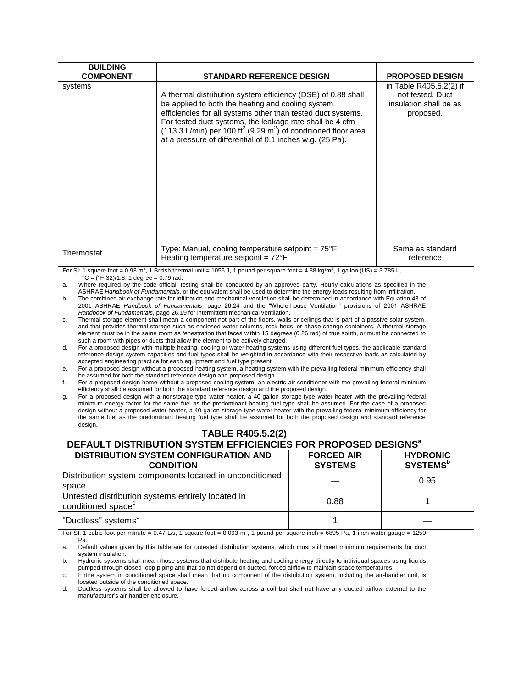| <b>BUILDING</b>             |                                                                                                                                                                                                                                                                                                                                                                                                                                          |                                                                                                              |
|-----------------------------|------------------------------------------------------------------------------------------------------------------------------------------------------------------------------------------------------------------------------------------------------------------------------------------------------------------------------------------------------------------------------------------------------------------------------------------|--------------------------------------------------------------------------------------------------------------|
| <b>COMPONENT</b><br>systems | <b>STANDARD REFERENCE DESIGN</b><br>A thermal distribution system efficiency (DSE) of 0.88 shall<br>be applied to both the heating and cooling system<br>efficiencies for all systems other than tested duct systems.<br>For tested duct systems, the leakage rate shall be 4 cfm<br>(113.3 L/min) per 100 ft <sup>2</sup> (9.29 m <sup>2</sup> ) of conditioned floor area<br>at a pressure of differential of 0.1 inches w.g. (25 Pa). | <b>PROPOSED DESIGN</b><br>in Table R405.5.2(2) if<br>not tested. Duct<br>insulation shall be as<br>proposed. |
| Thermostat                  | Type: Manual, cooling temperature setpoint = $75^{\circ}F$ ;<br>Heating temperature setpoint = $72^{\circ}$ F                                                                                                                                                                                                                                                                                                                            | Same as standard<br>reference                                                                                |

For SI: 1 square foot = 0.93 m<sup>2</sup>, 1 British thermal unit = 1055 J, 1 pound per square foot = 4.88 kg/m<sup>2</sup>, 1 gallon (US) = 3.785 L,  ${}^{\circ}$ C = ( ${}^{\circ}$ F-32)/1.8, 1 degree = 0.79 rad.

a. Where required by the code official, testing shall be conducted by an approved party. Hourly calculations as specified in the ASHRAE *Handbook of Fundamentals*, or the equivalent shall be used to determine the energy loads resulting from infiltration.

b. The combined air exchange rate for infiltration and mechanical ventilation shall be determined in accordance with Equation 43 of 2001 ASHRAE *Handbook of Fundamentals*, page 26.24 and the "Whole-house Ventilation" provisions of 2001 ASHRAE *Handbook of Fundamentals*, page 26.19 for intermittent mechanical ventilation.

c. Thermal storage element shall mean a component not part of the floors, walls or ceilings that is part of a passive solar system, and that provides thermal storage such as enclosed water columns, rock beds, or phase-change containers. A thermal storage element must be in the same room as fenestration that faces within 15 degrees (0.26 rad) of true south, or must be connected to such a room with pipes or ducts that allow the element to be actively charged.

d. For a proposed design with multiple heating, cooling or water heating systems using different fuel types, the applicable standard reference design system capacities and fuel types shall be weighted in accordance with their respective loads as calculated by accepted engineering practice for each equipment and fuel type present.

e. For a proposed design without a proposed heating system, a heating system with the prevailing federal minimum efficiency shall be assumed for both the standard reference design and proposed design.

f. For a proposed design home without a proposed cooling system, an electric air conditioner with the prevailing federal minimum efficiency shall be assumed for both the standard reference design and the proposed design.

g. For a proposed design with a nonstorage-type water heater, a 40-gallon storage-type water heater with the prevailing federal minimum energy factor for the same fuel as the predominant heating fuel type shall be assumed. For the case of a proposed design without a proposed water heater, a 40-gallon storage-type water heater with the prevailing federal minimum efficiency for the same fuel as the predominant heating fuel type shall be assumed for both the proposed design and standard reference design.

**TABLE R405.5.2(2)**

# **DEFAULT DISTRIBUTION SYSTEM EFFICIENCIES FOR PROPOSED DESIGNS a**

| <b>DISTRIBUTION SYSTEM CONFIGURATION AND</b><br><b>CONDITION</b>                    | <b>FORCED AIR</b><br><b>SYSTEMS</b> | <b>HYDRONIC</b><br><b>SYSTEMS</b> <sup>b</sup> |
|-------------------------------------------------------------------------------------|-------------------------------------|------------------------------------------------|
| Distribution system components located in unconditioned<br>space                    |                                     | 0.95                                           |
| Untested distribution systems entirely located in<br>conditioned space <sup>c</sup> | 0.88                                |                                                |
| "Ductless" systems <sup>a</sup>                                                     |                                     |                                                |

For SI: 1 cubic foot per minute =  $0.47$  L/s, 1 square foot =  $0.093$  m<sup>2</sup>, 1 pound per square inch = 6895 Pa, 1 inch water gauge = 1250 Pa.

b. Hydronic systems shall mean those systems that distribute heating and cooling energy directly to individual spaces using liquids pumped through closed-loop piping and that do not depend on ducted, forced airflow to maintain space temperatures.

c. Entire system in conditioned space shall mean that no component of the distribution system, including the air-handler unit, is located outside of the conditioned space.

d. Ductless systems shall be allowed to have forced airflow across a coil but shall not have any ducted airflow external to the manufacturer's air-handler enclosure.

a. Default values given by this table are for untested distribution systems, which must still meet minimum requirements for duct system insulation.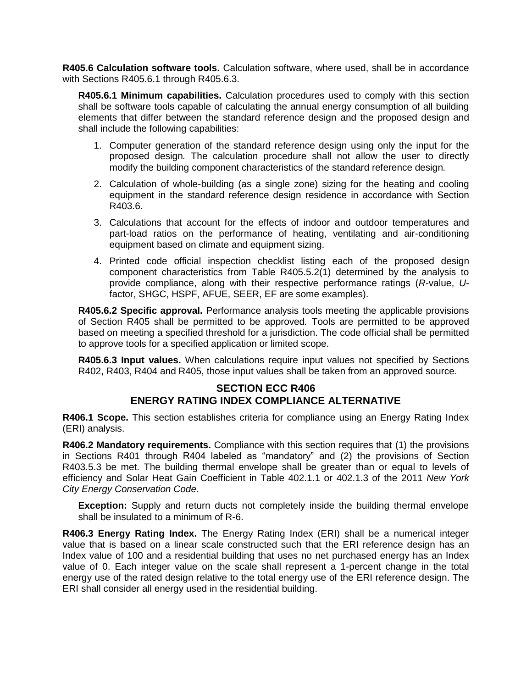**R405.6 Calculation software tools.** Calculation software, where used, shall be in accordance with Sections R405.6.1 through R405.6.3.

**R405.6.1 Minimum capabilities.** Calculation procedures used to comply with this section shall be software tools capable of calculating the annual energy consumption of all building elements that differ between the standard reference design and the proposed design and shall include the following capabilities:

- 1. Computer generation of the standard reference design using only the input for the proposed design*.* The calculation procedure shall not allow the user to directly modify the building component characteristics of the standard reference design*.*
- 2. Calculation of whole-building (as a single zone) sizing for the heating and cooling equipment in the standard reference design residence in accordance with Section R403.6.
- 3. Calculations that account for the effects of indoor and outdoor temperatures and part-load ratios on the performance of heating, ventilating and air-conditioning equipment based on climate and equipment sizing.
- 4. Printed code official inspection checklist listing each of the proposed design component characteristics from Table R405.5.2(1) determined by the analysis to provide compliance, along with their respective performance ratings (*R*-value, *U*factor, SHGC, HSPF, AFUE, SEER, EF are some examples).

**R405.6.2 Specific approval.** Performance analysis tools meeting the applicable provisions of Section R405 shall be permitted to be approved*.* Tools are permitted to be approved based on meeting a specified threshold for a jurisdiction. The code official shall be permitted to approve tools for a specified application or limited scope.

**R405.6.3 Input values.** When calculations require input values not specified by Sections R402, R403, R404 and R405, those input values shall be taken from an approved source.

#### **SECTION ECC R406 ENERGY RATING INDEX COMPLIANCE ALTERNATIVE**

**R406.1 Scope.** This section establishes criteria for compliance using an Energy Rating Index (ERI) analysis.

**R406.2 Mandatory requirements.** Compliance with this section requires that (1) the provisions in Sections R401 through R404 labeled as "mandatory" and (2) the provisions of Section R403.5.3 be met. The building thermal envelope shall be greater than or equal to levels of efficiency and Solar Heat Gain Coefficient in Table 402.1.1 or 402.1.3 of the 2011 *New York City Energy Conservation Code*.

**Exception:** Supply and return ducts not completely inside the building thermal envelope shall be insulated to a minimum of R-6.

**R406.3 Energy Rating Index.** The Energy Rating Index (ERI) shall be a numerical integer value that is based on a linear scale constructed such that the ERI reference design has an Index value of 100 and a residential building that uses no net purchased energy has an Index value of 0. Each integer value on the scale shall represent a 1-percent change in the total energy use of the rated design relative to the total energy use of the ERI reference design. The ERI shall consider all energy used in the residential building.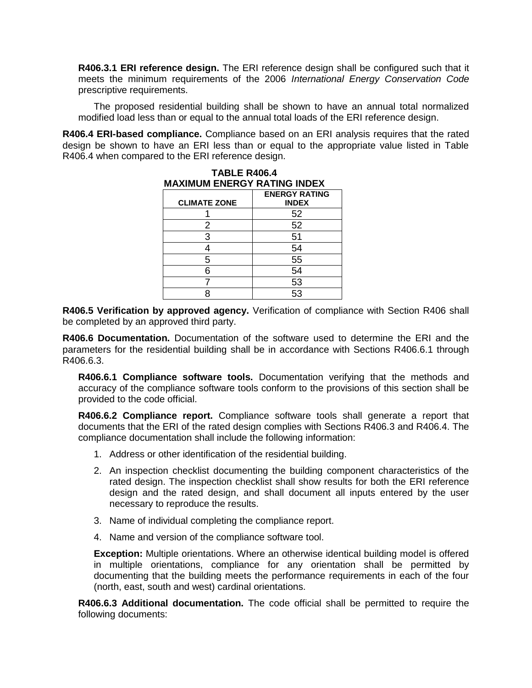**R406.3.1 ERI reference design.** The ERI reference design shall be configured such that it meets the minimum requirements of the 2006 *International Energy Conservation Code* prescriptive requirements.

The proposed residential building shall be shown to have an annual total normalized modified load less than or equal to the annual total loads of the ERI reference design.

**R406.4 ERI-based compliance.** Compliance based on an ERI analysis requires that the rated design be shown to have an ERI less than or equal to the appropriate value listed in Table R406.4 when compared to the ERI reference design.

| <b>MAAIMUM ENERGT RATING INDEA</b> |                                      |
|------------------------------------|--------------------------------------|
| <b>CLIMATE ZONE</b>                | <b>ENERGY RATING</b><br><b>INDEX</b> |
|                                    | 52                                   |
| 2                                  | 52                                   |
| 3                                  | 51                                   |
|                                    | 54                                   |
| 5                                  | 55                                   |
| 6                                  | 54                                   |
|                                    | 53                                   |
|                                    | 53                                   |

| <b>TABLE R406.4</b>                |                      |
|------------------------------------|----------------------|
| <b>MAXIMUM ENERGY RATING INDEX</b> |                      |
|                                    | <b>ENERGY RATING</b> |

**R406.5 Verification by approved agency.** Verification of compliance with Section R406 shall be completed by an approved third party.

**R406.6 Documentation.** Documentation of the software used to determine the ERI and the parameters for the residential building shall be in accordance with Sections R406.6.1 through R406.6.3.

**R406.6.1 Compliance software tools.** Documentation verifying that the methods and accuracy of the compliance software tools conform to the provisions of this section shall be provided to the code official.

**R406.6.2 Compliance report.** Compliance software tools shall generate a report that documents that the ERI of the rated design complies with Sections R406.3 and R406.4. The compliance documentation shall include the following information:

- 1. Address or other identification of the residential building.
- 2. An inspection checklist documenting the building component characteristics of the rated design. The inspection checklist shall show results for both the ERI reference design and the rated design, and shall document all inputs entered by the user necessary to reproduce the results.
- 3. Name of individual completing the compliance report.
- 4. Name and version of the compliance software tool.

**Exception:** Multiple orientations. Where an otherwise identical building model is offered in multiple orientations, compliance for any orientation shall be permitted by documenting that the building meets the performance requirements in each of the four (north, east, south and west) cardinal orientations.

**R406.6.3 Additional documentation.** The code official shall be permitted to require the following documents: